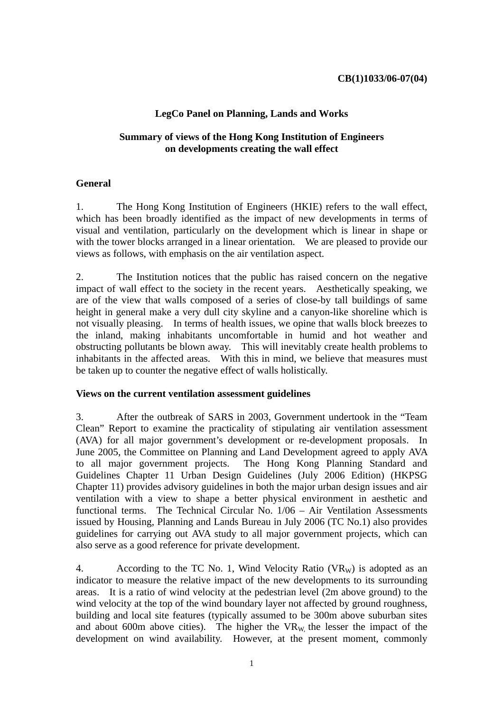# **LegCo Panel on Planning, Lands and Works**

## **Summary of views of the Hong Kong Institution of Engineers on developments creating the wall effect**

## **General**

1. The Hong Kong Institution of Engineers (HKIE) refers to the wall effect, which has been broadly identified as the impact of new developments in terms of visual and ventilation, particularly on the development which is linear in shape or with the tower blocks arranged in a linear orientation. We are pleased to provide our views as follows, with emphasis on the air ventilation aspect.

2. The Institution notices that the public has raised concern on the negative impact of wall effect to the society in the recent years. Aesthetically speaking, we are of the view that walls composed of a series of close-by tall buildings of same height in general make a very dull city skyline and a canyon-like shoreline which is not visually pleasing. In terms of health issues, we opine that walls block breezes to the inland, making inhabitants uncomfortable in humid and hot weather and obstructing pollutants be blown away. This will inevitably create health problems to inhabitants in the affected areas. With this in mind, we believe that measures must be taken up to counter the negative effect of walls holistically.

#### **Views on the current ventilation assessment guidelines**

3. After the outbreak of SARS in 2003, Government undertook in the "Team Clean" Report to examine the practicality of stipulating air ventilation assessment (AVA) for all major government's development or re-development proposals. In June 2005, the Committee on Planning and Land Development agreed to apply AVA to all major government projects. The Hong Kong Planning Standard and Guidelines Chapter 11 Urban Design Guidelines (July 2006 Edition) (HKPSG Chapter 11) provides advisory guidelines in both the major urban design issues and air ventilation with a view to shape a better physical environment in aesthetic and functional terms. The Technical Circular No. 1/06 – Air Ventilation Assessments issued by Housing, Planning and Lands Bureau in July 2006 (TC No.1) also provides guidelines for carrying out AVA study to all major government projects, which can also serve as a good reference for private development.

4. According to the TC No. 1, Wind Velocity Ratio  $(VR_W)$  is adopted as an indicator to measure the relative impact of the new developments to its surrounding areas. It is a ratio of wind velocity at the pedestrian level (2m above ground) to the wind velocity at the top of the wind boundary layer not affected by ground roughness, building and local site features (typically assumed to be 300m above suburban sites and about 600m above cities). The higher the  $VR_W$  the lesser the impact of the development on wind availability. However, at the present moment, commonly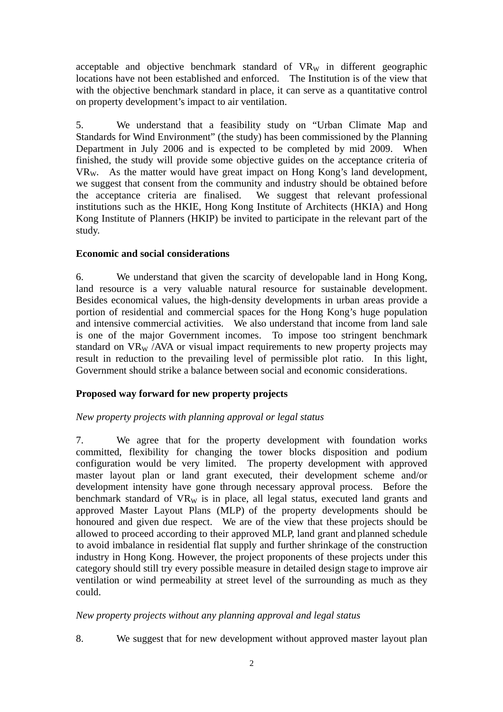acceptable and objective benchmark standard of  $VR_W$  in different geographic locations have not been established and enforced. The Institution is of the view that with the objective benchmark standard in place, it can serve as a quantitative control on property development's impact to air ventilation.

5. We understand that a feasibility study on "Urban Climate Map and Standards for Wind Environment" (the study) has been commissioned by the Planning Department in July 2006 and is expected to be completed by mid 2009. When finished, the study will provide some objective guides on the acceptance criteria of VRW. As the matter would have great impact on Hong Kong's land development, we suggest that consent from the community and industry should be obtained before the acceptance criteria are finalised. We suggest that relevant professional institutions such as the HKIE, Hong Kong Institute of Architects (HKIA) and Hong Kong Institute of Planners (HKIP) be invited to participate in the relevant part of the study.

### **Economic and social considerations**

6. We understand that given the scarcity of developable land in Hong Kong, land resource is a very valuable natural resource for sustainable development. Besides economical values, the high-density developments in urban areas provide a portion of residential and commercial spaces for the Hong Kong's huge population and intensive commercial activities. We also understand that income from land sale is one of the major Government incomes. To impose too stringent benchmark standard on  $VR_W$  /AVA or visual impact requirements to new property projects may result in reduction to the prevailing level of permissible plot ratio. In this light, Government should strike a balance between social and economic considerations.

## **Proposed way forward for new property projects**

#### *New property projects with planning approval or legal status*

7. We agree that for the property development with foundation works committed, flexibility for changing the tower blocks disposition and podium configuration would be very limited. The property development with approved master layout plan or land grant executed, their development scheme and/or development intensity have gone through necessary approval process. Before the benchmark standard of  $VR_W$  is in place, all legal status, executed land grants and approved Master Layout Plans (MLP) of the property developments should be honoured and given due respect. We are of the view that these projects should be allowed to proceed according to their approved MLP, land grant and planned schedule to avoid imbalance in residential flat supply and further shrinkage of the construction industry in Hong Kong. However, the project proponents of these projects under this category should still try every possible measure in detailed design stage to improve air ventilation or wind permeability at street level of the surrounding as much as they could.

### *New property projects without any planning approval and legal status*

8. We suggest that for new development without approved master layout plan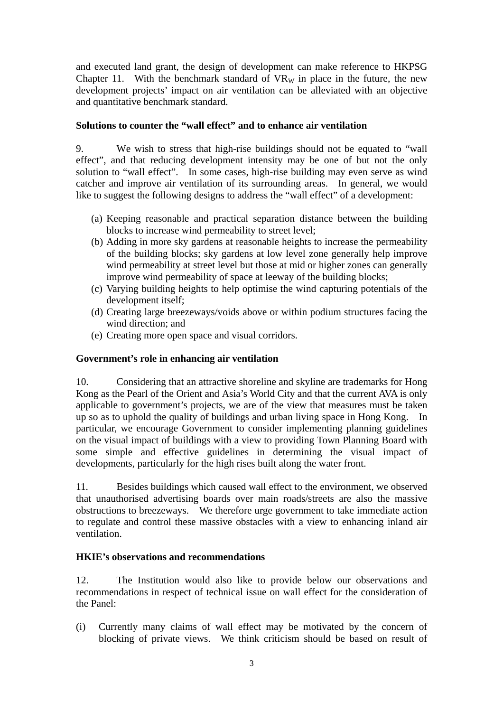and executed land grant, the design of development can make reference to HKPSG Chapter 11. With the benchmark standard of  $VR_W$  in place in the future, the new development projects' impact on air ventilation can be alleviated with an objective and quantitative benchmark standard.

## **Solutions to counter the "wall effect" and to enhance air ventilation**

9. We wish to stress that high-rise buildings should not be equated to "wall effect", and that reducing development intensity may be one of but not the only solution to "wall effect". In some cases, high-rise building may even serve as wind catcher and improve air ventilation of its surrounding areas. In general, we would like to suggest the following designs to address the "wall effect" of a development:

- (a) Keeping reasonable and practical separation distance between the building blocks to increase wind permeability to street level;
- (b) Adding in more sky gardens at reasonable heights to increase the permeability of the building blocks; sky gardens at low level zone generally help improve wind permeability at street level but those at mid or higher zones can generally improve wind permeability of space at leeway of the building blocks;
- (c) Varying building heights to help optimise the wind capturing potentials of the development itself;
- (d) Creating large breezeways/voids above or within podium structures facing the wind direction; and
- (e) Creating more open space and visual corridors.

### **Government's role in enhancing air ventilation**

10. Considering that an attractive shoreline and skyline are trademarks for Hong Kong as the Pearl of the Orient and Asia's World City and that the current AVA is only applicable to government's projects, we are of the view that measures must be taken up so as to uphold the quality of buildings and urban living space in Hong Kong. In particular, we encourage Government to consider implementing planning guidelines on the visual impact of buildings with a view to providing Town Planning Board with some simple and effective guidelines in determining the visual impact of developments, particularly for the high rises built along the water front.

11. Besides buildings which caused wall effect to the environment, we observed that unauthorised advertising boards over main roads/streets are also the massive obstructions to breezeways. We therefore urge government to take immediate action to regulate and control these massive obstacles with a view to enhancing inland air ventilation.

### **HKIE's observations and recommendations**

12. The Institution would also like to provide below our observations and recommendations in respect of technical issue on wall effect for the consideration of the Panel:

(i) Currently many claims of wall effect may be motivated by the concern of blocking of private views. We think criticism should be based on result of